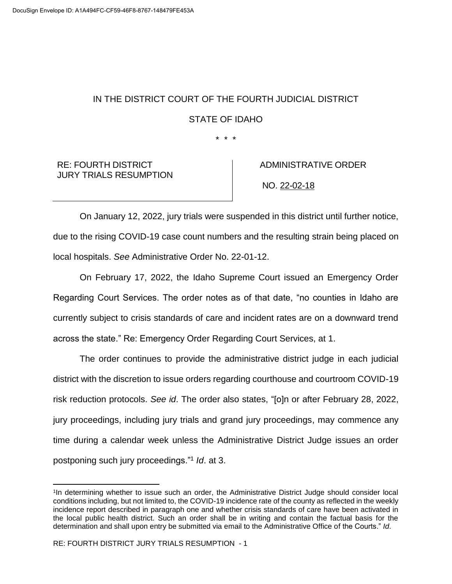## IN THE DISTRICT COURT OF THE FOURTH JUDICIAL DISTRICT STATE OF IDAHO

\* \* \*

RE: FOURTH DISTRICT JURY TRIALS RESUMPTION  ADMINISTRATIVE ORDER NO. 22-02-18

On January 12, 2022, jury trials were suspended in this district until further notice, due to the rising COVID-19 case count numbers and the resulting strain being placed on local hospitals. *See* Administrative Order No. 22-01-12.

On February 17, 2022, the Idaho Supreme Court issued an Emergency Order Regarding Court Services. The order notes as of that date, "no counties in Idaho are currently subject to crisis standards of care and incident rates are on a downward trend across the state." Re: Emergency Order Regarding Court Services, at 1.

The order continues to provide the administrative district judge in each judicial district with the discretion to issue orders regarding courthouse and courtroom COVID-19 risk reduction protocols. *See id*. The order also states, "[o]n or after February 28, 2022, jury proceedings, including jury trials and grand jury proceedings, may commence any time during a calendar week unless the Administrative District Judge issues an order postponing such jury proceedings."<sup>1</sup> *Id*. at 3.

 $\overline{a}$ 

<sup>1</sup> In determining whether to issue such an order, the Administrative District Judge should consider local conditions including, but not limited to, the COVID-19 incidence rate of the county as reflected in the weekly incidence report described in paragraph one and whether crisis standards of care have been activated in the local public health district. Such an order shall be in writing and contain the factual basis for the determination and shall upon entry be submitted via email to the Administrative Office of the Courts." *Id*.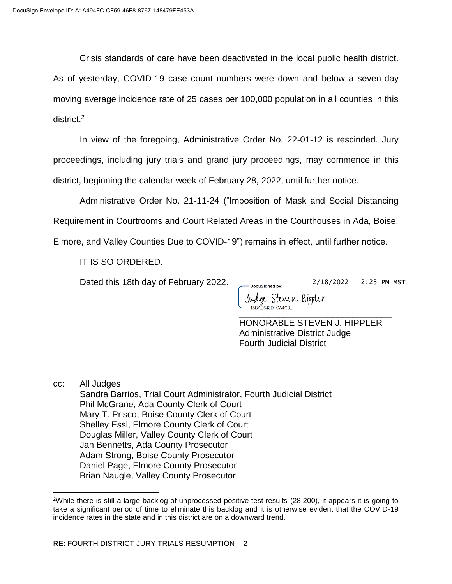Crisis standards of care have been deactivated in the local public health district.

As of yesterday, COVID-19 case count numbers were down and below a seven-day moving average incidence rate of 25 cases per 100,000 population in all counties in this district.<sup>2</sup>

In view of the foregoing, Administrative Order No. 22-01-12 is rescinded. Jury proceedings, including jury trials and grand jury proceedings, may commence in this district, beginning the calendar week of February 28, 2022, until further notice.

Administrative Order No. 21-11-24 ("Imposition of Mask and Social Distancing Requirement in Courtrooms and Court Related Areas in the Courthouses in Ada, Boise, Elmore, and Valley Counties Due to COVID-19") remains in effect, until further notice.

IT IS SO ORDERED.

Dated this 18th day of February 2022.

2/18/2022 | 2:23 PM MST

Judge Steven Hippler \_\_\_\_\_\_\_\_\_\_\_\_\_\_\_\_\_\_\_\_\_\_\_\_\_\_\_\_\_\_\_

-DocuSianed by:

HONORABLE STEVEN J. HIPPLER Administrative District Judge Fourth Judicial District

cc: All Judges

 $\overline{\phantom{a}}$ 

Sandra Barrios, Trial Court Administrator, Fourth Judicial District Phil McGrane, Ada County Clerk of Court Mary T. Prisco, Boise County Clerk of Court Shelley Essl, Elmore County Clerk of Court Douglas Miller, Valley County Clerk of Court Jan Bennetts, Ada County Prosecutor Adam Strong, Boise County Prosecutor Daniel Page, Elmore County Prosecutor Brian Naugle, Valley County Prosecutor

<sup>2</sup>While there is still a large backlog of unprocessed positive test results (28,200), it appears it is going to take a significant period of time to eliminate this backlog and it is otherwise evident that the COVID-19 incidence rates in the state and in this district are on a downward trend.